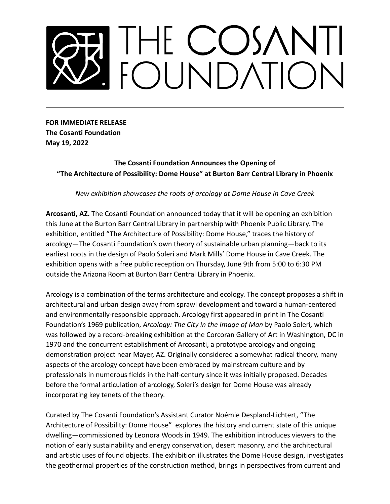## THE COSANTI<br>FOUNDATION

**FOR IMMEDIATE RELEASE The Cosanti Foundation May 19, 2022**

## **The Cosanti Foundation Announces the Opening of "The Architecture of Possibility: Dome House" at Burton Barr Central Library in Phoenix**

*New exhibition showcases the roots of arcology at Dome House in Cave Creek*

**Arcosanti, AZ.** The Cosanti Foundation announced today that it will be opening an exhibition this June at the Burton Barr Central Library in partnership with Phoenix Public Library. The exhibition, entitled "The Architecture of Possibility: Dome House," traces the history of arcology—The Cosanti Foundation's own theory of sustainable urban planning—back to its earliest roots in the design of Paolo Soleri and Mark Mills' Dome House in Cave Creek. The exhibition opens with a free public reception on Thursday, June 9th from 5:00 to 6:30 PM outside the Arizona Room at Burton Barr Central Library in Phoenix.

Arcology is a combination of the terms architecture and ecology. The concept proposes a shift in architectural and urban design away from sprawl development and toward a human-centered and environmentally-responsible approach. Arcology first appeared in print in The Cosanti Foundation's 1969 publication, *Arcology: The City in the Image of Man* by Paolo Soleri*,* which was followed by a record-breaking exhibition at the Corcoran Gallery of Art in Washington, DC in 1970 and the concurrent establishment of Arcosanti, a prototype arcology and ongoing demonstration project near Mayer, AZ. Originally considered a somewhat radical theory, many aspects of the arcology concept have been embraced by mainstream culture and by professionals in numerous fields in the half-century since it was initially proposed. Decades before the formal articulation of arcology, Soleri's design for Dome House was already incorporating key tenets of the theory.

Curated by The Cosanti Foundation's Assistant Curator Noémie Despland-Lichtert, "The Architecture of Possibility: Dome House" explores the history and current state of this unique dwelling—commissioned by Leonora Woods in 1949. The exhibition introduces viewers to the notion of early sustainability and energy conservation, desert masonry, and the architectural and artistic uses of found objects. The exhibition illustrates the Dome House design, investigates the geothermal properties of the construction method, brings in perspectives from current and